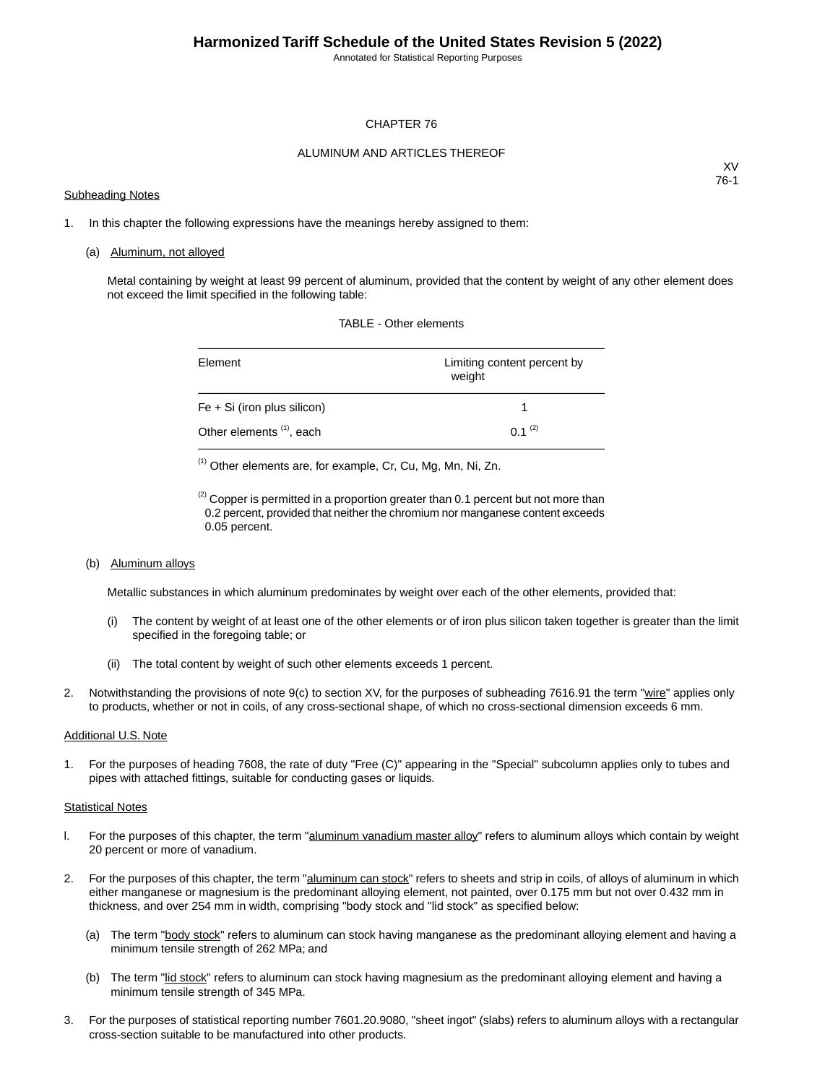Annotated for Statistical Reporting Purposes

#### CHAPTER 76

#### ALUMINUM AND ARTICLES THEREOF

#### Subheading Notes

XV 76-1

1. In this chapter the following expressions have the meanings hereby assigned to them:

#### (a) Aluminum, not alloyed

Metal containing by weight at least 99 percent of aluminum, provided that the content by weight of any other element does not exceed the limit specified in the following table:

| Element                              | Limiting content percent by<br>weight |
|--------------------------------------|---------------------------------------|
| $Fe + Si$ (iron plus silicon)        |                                       |
| Other elements <sup>(1)</sup> , each | $0.1^{(2)}$                           |

TABLE - Other elements

(1) Other elements are, for example, Cr, Cu, Mg, Mn, Ni, Zn.

 $<sup>(2)</sup>$  Copper is permitted in a proportion greater than 0.1 percent but not more than</sup> 0.2 percent, provided that neither the chromium nor manganese content exceeds 0.05 percent.

(b) Aluminum alloys

Metallic substances in which aluminum predominates by weight over each of the other elements, provided that:

- (i) The content by weight of at least one of the other elements or of iron plus silicon taken together is greater than the limit specified in the foregoing table; or
- (ii) The total content by weight of such other elements exceeds 1 percent.
- 2. Notwithstanding the provisions of note 9(c) to section XV, for the purposes of subheading 7616.91 the term "wire" applies only to products, whether or not in coils, of any cross-sectional shape, of which no cross-sectional dimension exceeds 6 mm.

#### Additional U.S. Note

1. For the purposes of heading 7608, the rate of duty "Free (C)" appearing in the "Special" subcolumn applies only to tubes and pipes with attached fittings, suitable for conducting gases or liquids.

#### Statistical Notes

- l. For the purposes of this chapter, the term "aluminum vanadium master alloy" refers to aluminum alloys which contain by weight 20 percent or more of vanadium.
- 2. For the purposes of this chapter, the term "aluminum can stock" refers to sheets and strip in coils, of alloys of aluminum in which either manganese or magnesium is the predominant alloying element, not painted, over 0.175 mm but not over 0.432 mm in thickness, and over 254 mm in width, comprising "body stock and "lid stock" as specified below:
	- (a) The term "body stock" refers to aluminum can stock having manganese as the predominant alloying element and having a minimum tensile strength of 262 MPa; and
	- (b) The term "lid stock" refers to aluminum can stock having magnesium as the predominant alloying element and having a minimum tensile strength of 345 MPa.
- 3. For the purposes of statistical reporting number 7601.20.9080, "sheet ingot" (slabs) refers to aluminum alloys with a rectangular cross-section suitable to be manufactured into other products.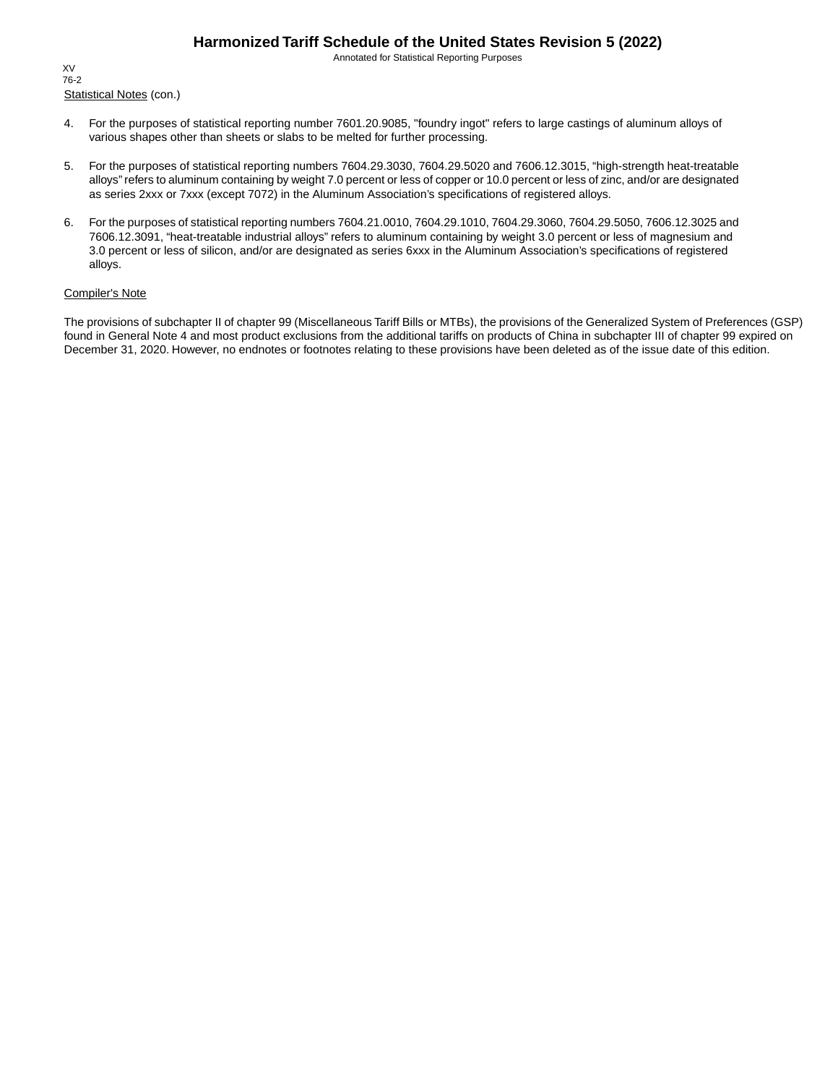Annotated for Statistical Reporting Purposes

Statistical Notes (con.) XV 76-2

- 4. For the purposes of statistical reporting number 7601.20.9085, "foundry ingot" refers to large castings of aluminum alloys of various shapes other than sheets or slabs to be melted for further processing.
- 5. For the purposes of statistical reporting numbers 7604.29.3030, 7604.29.5020 and 7606.12.3015, "high-strength heat-treatable alloys" refers to aluminum containing by weight 7.0 percent or less of copper or 10.0 percent or less of zinc, and/or are designated as series 2xxx or 7xxx (except 7072) in the Aluminum Association's specifications of registered alloys.
- 6. For the purposes of statistical reporting numbers 7604.21.0010, 7604.29.1010, 7604.29.3060, 7604.29.5050, 7606.12.3025 and 7606.12.3091, "heat-treatable industrial alloys" refers to aluminum containing by weight 3.0 percent or less of magnesium and 3.0 percent or less of silicon, and/or are designated as series 6xxx in the Aluminum Association's specifications of registered alloys.

#### Compiler's Note

The provisions of subchapter II of chapter 99 (Miscellaneous Tariff Bills or MTBs), the provisions of the Generalized System of Preferences (GSP) found in General Note 4 and most product exclusions from the additional tariffs on products of China in subchapter III of chapter 99 expired on December 31, 2020. However, no endnotes or footnotes relating to these provisions have been deleted as of the issue date of this edition.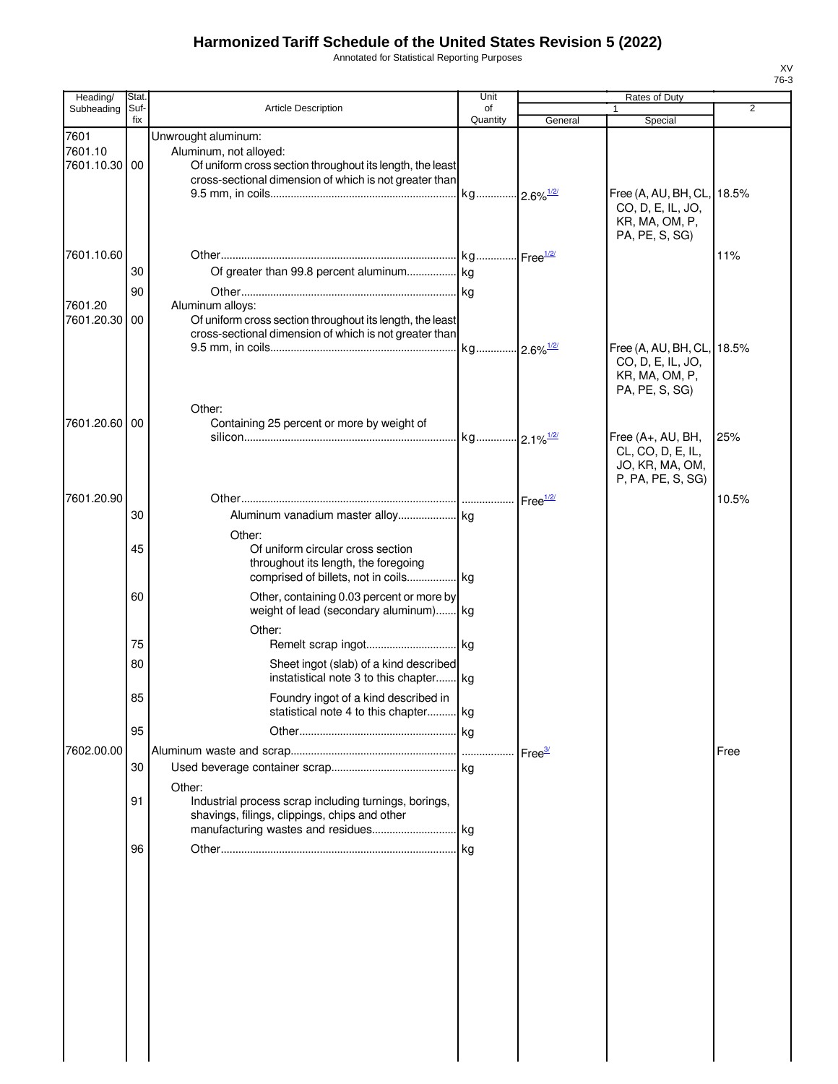Annotated for Statistical Reporting Purposes

| Heading/                      | Stat.       |                                                                                                                                                                      | Unit                    |                    | Rates of Duty                                                                 |                |
|-------------------------------|-------------|----------------------------------------------------------------------------------------------------------------------------------------------------------------------|-------------------------|--------------------|-------------------------------------------------------------------------------|----------------|
| Subheading                    | Suf-<br>fix | <b>Article Description</b>                                                                                                                                           | of<br>Quantity          |                    |                                                                               | $\overline{2}$ |
|                               |             |                                                                                                                                                                      |                         | General            | Special                                                                       |                |
| 7601<br>7601.10<br>7601.10.30 | 00          | Unwrought aluminum:<br>Aluminum, not alloyed:<br>Of uniform cross section throughout its length, the least<br>cross-sectional dimension of which is not greater than | kg 2.6% <sup>1/2/</sup> |                    | Free (A, AU, BH, CL,<br>CO, D, E, IL, JO,                                     | 18.5%          |
| 7601.10.60                    | 30          |                                                                                                                                                                      |                         |                    | KR, MA, OM, P,<br>PA, PE, S, SG)                                              | 11%            |
| 7601.20<br>7601.20.30         | 90<br>00    | Aluminum alloys:<br>Of uniform cross section throughout its length, the least<br>cross-sectional dimension of which is not greater than                              |                         |                    |                                                                               | 18.5%          |
|                               |             | Other:                                                                                                                                                               |                         |                    | Free (A, AU, BH, CL,<br>CO, D, E, IL, JO,<br>KR, MA, OM, P,<br>PA, PE, S, SG) |                |
| 7601.20.60 00                 |             | Containing 25 percent or more by weight of                                                                                                                           | kg 2.1% <sup>1/2/</sup> |                    | Free (A+, AU, BH,<br>CL, CO, D, E, IL,<br>JO, KR, MA, OM,                     | 25%            |
| 7601.20.90                    | 30          |                                                                                                                                                                      |                         |                    | P, PA, PE, S, SG)                                                             | 10.5%          |
|                               | 45          | Other:<br>Of uniform circular cross section<br>throughout its length, the foregoing<br>comprised of billets, not in coils kg                                         |                         |                    |                                                                               |                |
|                               | 60          | Other, containing 0.03 percent or more by<br>weight of lead (secondary aluminum) kg<br>Other:                                                                        |                         |                    |                                                                               |                |
|                               | 75          |                                                                                                                                                                      |                         |                    |                                                                               |                |
|                               | 80          | Sheet ingot (slab) of a kind described<br>instatistical note 3 to this chapter kg                                                                                    |                         |                    |                                                                               |                |
|                               | 85          | Foundry ingot of a kind described in<br>statistical note 4 to this chapter kg                                                                                        |                         |                    |                                                                               |                |
|                               | 95          |                                                                                                                                                                      | kg                      |                    |                                                                               |                |
| 7602.00.00                    |             |                                                                                                                                                                      |                         | Free <sup>37</sup> |                                                                               | Free           |
|                               | 30          |                                                                                                                                                                      |                         |                    |                                                                               |                |
|                               | 91          | Other:<br>Industrial process scrap including turnings, borings,<br>shavings, filings, clippings, chips and other<br>manufacturing wastes and residues                | . kg                    |                    |                                                                               |                |
|                               | 96          |                                                                                                                                                                      |                         |                    |                                                                               |                |
|                               |             |                                                                                                                                                                      |                         |                    |                                                                               |                |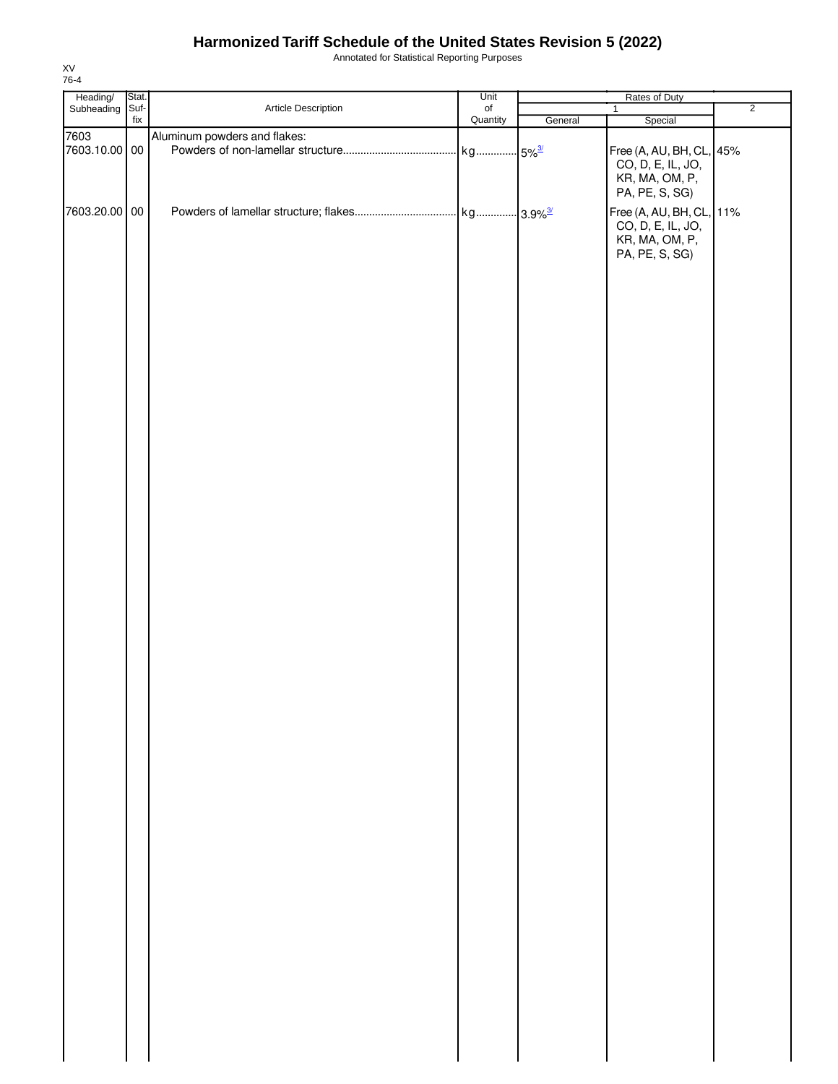Annotated for Statistical Reporting Purposes

| Heading/              | Stat. |                              | Unit             |         | Rates of Duty                                                                     |                |
|-----------------------|-------|------------------------------|------------------|---------|-----------------------------------------------------------------------------------|----------------|
| Subheading            | Suf-  | Article Description          | $_{\mathsf{of}}$ |         | $\mathbf{1}$                                                                      | $\overline{2}$ |
|                       | fix   |                              | Quantity         | General | Special                                                                           |                |
| 7603<br>7603.10.00 00 |       | Aluminum powders and flakes: |                  |         | Free (A, AU, BH, CL, 45%<br>CO, D, E, IL, JO,<br>KR, MA, OM, P,                   |                |
| 7603.20.00 00         |       |                              |                  |         | PA, PE, S, SG)<br>Free (A, AU, BH, CL, 11%<br>CO, D, E, IL, JO,<br>KR, MA, OM, P, |                |
|                       |       |                              |                  |         | PA, PE, S, SG)                                                                    |                |
|                       |       |                              |                  |         |                                                                                   |                |
|                       |       |                              |                  |         |                                                                                   |                |
|                       |       |                              |                  |         |                                                                                   |                |
|                       |       |                              |                  |         |                                                                                   |                |
|                       |       |                              |                  |         |                                                                                   |                |
|                       |       |                              |                  |         |                                                                                   |                |
|                       |       |                              |                  |         |                                                                                   |                |
|                       |       |                              |                  |         |                                                                                   |                |
|                       |       |                              |                  |         |                                                                                   |                |
|                       |       |                              |                  |         |                                                                                   |                |
|                       |       |                              |                  |         |                                                                                   |                |
|                       |       |                              |                  |         |                                                                                   |                |
|                       |       |                              |                  |         |                                                                                   |                |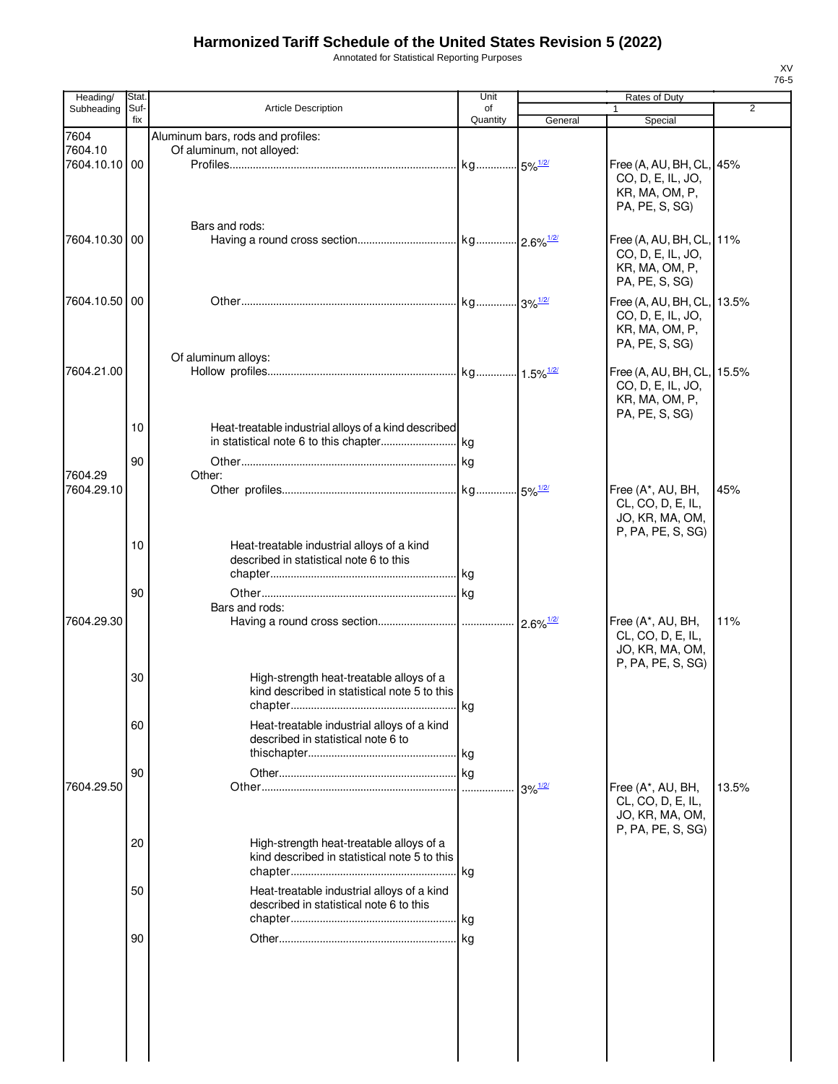Annotated for Statistical Reporting Purposes

| Heading/                 | Stat.    |                                                                                          | Unit     |                                             | Rates of Duty                                                                       |                |
|--------------------------|----------|------------------------------------------------------------------------------------------|----------|---------------------------------------------|-------------------------------------------------------------------------------------|----------------|
| Subheading               | Suf-     | <b>Article Description</b>                                                               | of       |                                             |                                                                                     | $\overline{2}$ |
| 7604                     | fix      | Aluminum bars, rods and profiles:                                                        | Quantity | General                                     | Special                                                                             |                |
| 7604.10<br>7604.10.10 00 |          | Of aluminum, not alloyed:                                                                |          |                                             | Free (A, AU, BH, CL, 45%<br>CO, D, E, IL, JO,<br>KR, MA, OM, P,<br>PA, PE, S, SG)   |                |
| 7604.10.30 00            |          | Bars and rods:                                                                           |          |                                             | Free (A, AU, BH, CL, 11%<br>CO, D, E, IL, JO,<br>KR, MA, OM, P,<br>PA, PE, S, SG)   |                |
| 7604.10.50 00            |          |                                                                                          |          |                                             | Free (A, AU, BH, CL, 13.5%<br>CO, D, E, IL, JO,<br>KR, MA, OM, P,<br>PA, PE, S, SG) |                |
| 7604.21.00               |          | Of aluminum alloys:                                                                      |          |                                             | Free (A, AU, BH, CL, 15.5%<br>CO, D, E, IL, JO,<br>KR, MA, OM, P,<br>PA, PE, S, SG) |                |
|                          | 10<br>90 | Heat-treatable industrial alloys of a kind described                                     |          |                                             |                                                                                     |                |
| 7604.29<br>7604.29.10    |          | Other:                                                                                   |          |                                             | Free (A*, AU, BH,<br>CL, CO, D, E, IL,<br>JO, KR, MA, OM,                           | 45%            |
|                          | 10       | Heat-treatable industrial alloys of a kind<br>described in statistical note 6 to this    |          |                                             | P, PA, PE, S, SG)                                                                   |                |
| 7604.29.30               | 90       | Bars and rods:                                                                           |          |                                             | Free (A*, AU, BH,<br>CL, CO, D, E, IL,                                              | 11%            |
|                          | 30       | High-strength heat-treatable alloys of a<br>kind described in statistical note 5 to this |          |                                             | JO, KR, MA, OM,<br>P, PA, PE, S, SG)                                                |                |
|                          | 60       | Heat-treatable industrial alloys of a kind<br>described in statistical note 6 to         |          |                                             |                                                                                     |                |
| 7604.29.50               | 90       |                                                                                          |          | $3\%$ <sup><math>\frac{1/2}{2}</math></sup> | Free (A*, AU, BH,<br>CL, CO, D, E, IL,<br>JO, KR, MA, OM,                           | 13.5%          |
|                          | 20       | High-strength heat-treatable alloys of a<br>kind described in statistical note 5 to this |          |                                             | P, PA, PE, S, SG)                                                                   |                |
|                          | 50       | Heat-treatable industrial alloys of a kind<br>described in statistical note 6 to this    |          |                                             |                                                                                     |                |
|                          | 90       |                                                                                          |          |                                             |                                                                                     |                |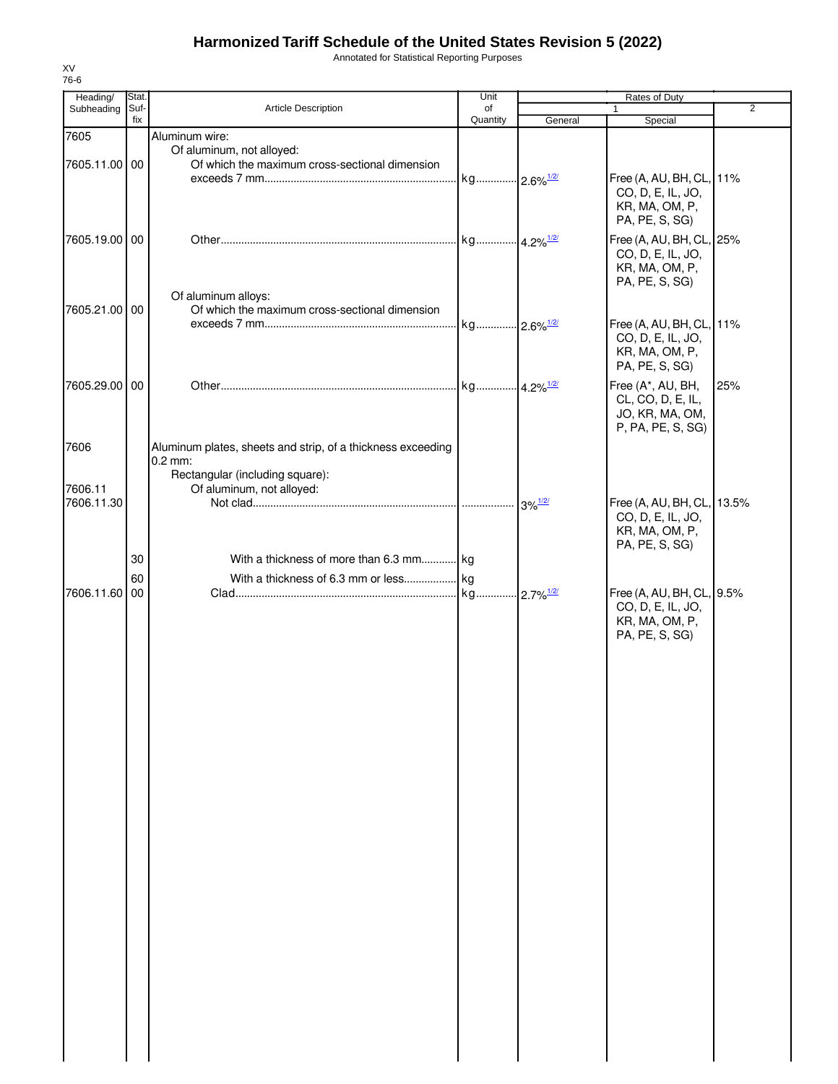Annotated for Statistical Reporting Purposes

| Heading/              | Stat.       |                                                                                                             | Unit                    |         | Rates of Duty                                                                       |     |
|-----------------------|-------------|-------------------------------------------------------------------------------------------------------------|-------------------------|---------|-------------------------------------------------------------------------------------|-----|
| Subheading            | Suf-<br>fix | Article Description                                                                                         | of<br>Quantity          | General | $\mathbf{1}$<br>Special                                                             | 2   |
| 7605<br>7605.11.00 00 |             | Aluminum wire:<br>Of aluminum, not alloyed:<br>Of which the maximum cross-sectional dimension               | kg 2.6% <sup>1/2/</sup> |         | Free (A, AU, BH, CL, 11%<br>CO, D, E, IL, JO,<br>KR, MA, OM, P,<br>PA, PE, S, SG)   |     |
| 7605.19.00 00         |             |                                                                                                             |                         |         | Free (A, AU, BH, CL, 25%<br>CO, D, E, IL, JO,<br>KR, MA, OM, P,<br>PA, PE, S, SG)   |     |
| 7605.21.00 00         |             | Of aluminum alloys:<br>Of which the maximum cross-sectional dimension                                       |                         |         | Free (A, AU, BH, CL, 11%<br>CO, D, E, IL, JO,<br>KR, MA, OM, P,<br>PA, PE, S, SG)   |     |
| 7605.29.00 00         |             |                                                                                                             |                         |         | Free (A*, AU, BH,<br>CL, CO, D, E, IL,<br>JO, KR, MA, OM,<br>P, PA, PE, S, SG)      | 25% |
| 7606                  |             | Aluminum plates, sheets and strip, of a thickness exceeding<br>$0.2$ mm:<br>Rectangular (including square): |                         |         |                                                                                     |     |
| 7606.11<br>7606.11.30 |             | Of aluminum, not alloyed:                                                                                   |                         |         | Free (A, AU, BH, CL, 13.5%<br>CO, D, E, IL, JO,<br>KR, MA, OM, P,<br>PA, PE, S, SG) |     |
| 7606.11.60 00         | 30<br>60    | With a thickness of more than 6.3 mm kg                                                                     |                         |         | Free (A, AU, BH, CL, 9.5%<br>CO, D, E, IL, JO,<br>KR, MA, OM, P,<br>PA, PE, S, SG)  |     |
|                       |             |                                                                                                             |                         |         |                                                                                     |     |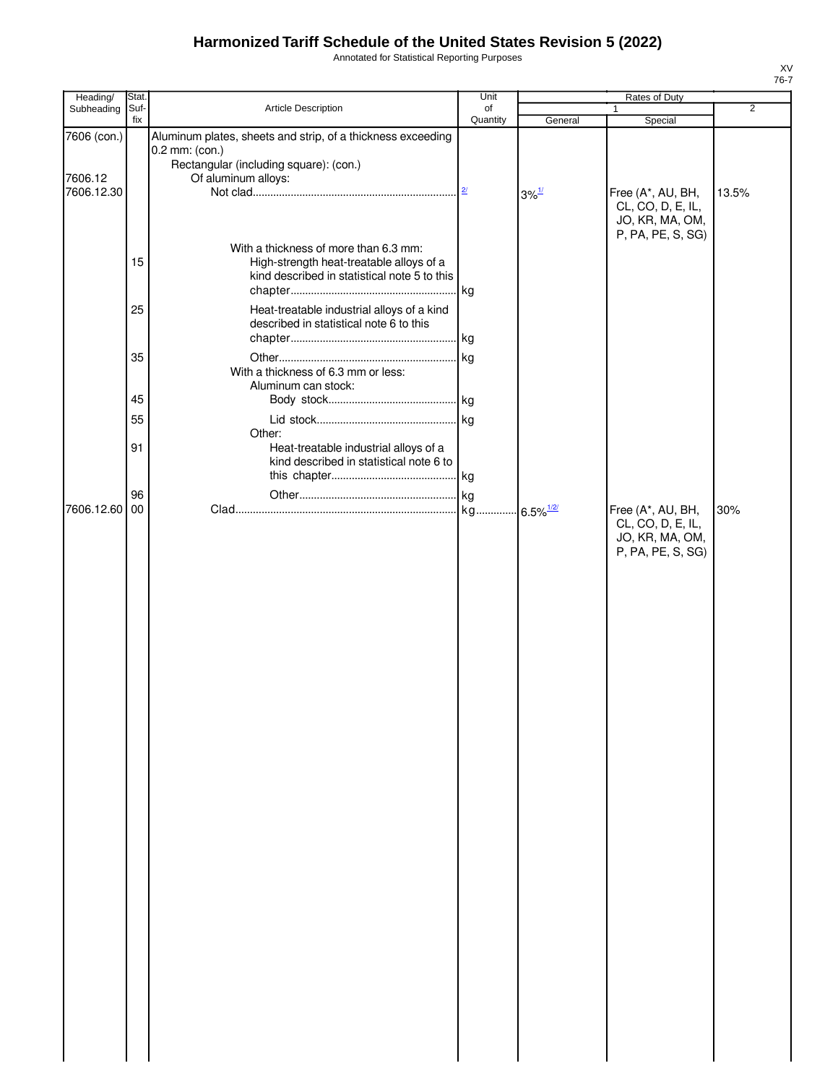Annotated for Statistical Reporting Purposes

|                                                                                       | Unit                                                                                                                                                                     |          | Rates of Duty                                                                   |                                                                        |
|---------------------------------------------------------------------------------------|--------------------------------------------------------------------------------------------------------------------------------------------------------------------------|----------|---------------------------------------------------------------------------------|------------------------------------------------------------------------|
|                                                                                       | of                                                                                                                                                                       |          | $\mathbf{1}$                                                                    | $\overline{2}$                                                         |
| Aluminum plates, sheets and strip, of a thickness exceeding                           |                                                                                                                                                                          |          |                                                                                 |                                                                        |
| Rectangular (including square): (con.)<br>Of aluminum alloys:                         |                                                                                                                                                                          |          |                                                                                 |                                                                        |
|                                                                                       |                                                                                                                                                                          |          | CL, CO, D, E, IL,<br>JO, KR, MA, OM,                                            | 13.5%                                                                  |
| With a thickness of more than 6.3 mm:<br>High-strength heat-treatable alloys of a     |                                                                                                                                                                          |          |                                                                                 |                                                                        |
| Heat-treatable industrial alloys of a kind<br>described in statistical note 6 to this |                                                                                                                                                                          |          |                                                                                 |                                                                        |
| With a thickness of 6.3 mm or less:                                                   |                                                                                                                                                                          |          |                                                                                 |                                                                        |
|                                                                                       |                                                                                                                                                                          |          |                                                                                 |                                                                        |
|                                                                                       |                                                                                                                                                                          |          |                                                                                 |                                                                        |
|                                                                                       |                                                                                                                                                                          |          |                                                                                 |                                                                        |
| Other:<br>Heat-treatable industrial alloys of a                                       |                                                                                                                                                                          |          |                                                                                 |                                                                        |
|                                                                                       |                                                                                                                                                                          |          |                                                                                 |                                                                        |
|                                                                                       |                                                                                                                                                                          |          |                                                                                 |                                                                        |
|                                                                                       |                                                                                                                                                                          |          | CL, CO, D, E, IL,<br>JO, KR, MA, OM,<br>P, PA, PE, S, SG)                       | 30%                                                                    |
| fix<br>15<br>25<br>35<br>45<br>55<br>91<br>96<br>00                                   | Stat.<br>Suf-<br>Article Description<br>0.2 mm: (con.)<br>kind described in statistical note 5 to this<br>Aluminum can stock:<br>kind described in statistical note 6 to | Quantity | General<br>$3\%$ <sup><math>\frac{1}{2}</math></sup><br>$6.5\%$ <sup>1/2/</sup> | Special<br>Free (A*, AU, BH,<br>P, PA, PE, S, SG)<br>Free (A*, AU, BH, |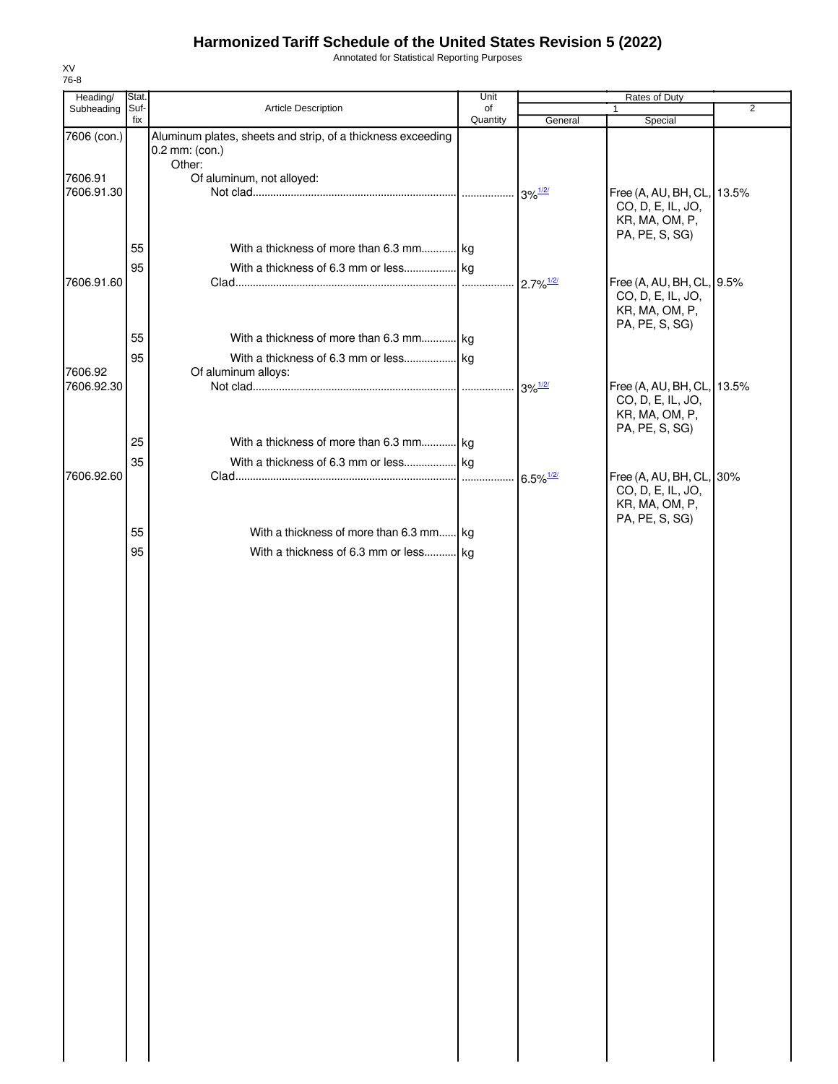Annotated for Statistical Reporting Purposes

| Heading/              | Stat.       |                                                                               | Unit           |                          | Rates of Duty                                                                     |                |
|-----------------------|-------------|-------------------------------------------------------------------------------|----------------|--------------------------|-----------------------------------------------------------------------------------|----------------|
| Subheading            | Suf-<br>fix | Article Description                                                           | of<br>Quantity | General                  | $\mathbf{1}$<br>Special                                                           | $\overline{2}$ |
| 7606 (con.)           |             | Aluminum plates, sheets and strip, of a thickness exceeding<br>0.2 mm: (con.) |                |                          |                                                                                   |                |
|                       |             | Other:                                                                        |                |                          |                                                                                   |                |
| 7606.91<br>7606.91.30 |             | Of aluminum, not alloyed:                                                     |                |                          | Free (A, AU, BH, CL, 13.5%<br>CO, D, E, IL, JO,<br>KR, MA, OM, P,                 |                |
|                       |             |                                                                               |                |                          | PA, PE, S, SG)                                                                    |                |
|                       | 55          | With a thickness of more than 6.3 mm kg                                       |                |                          |                                                                                   |                |
| 7606.91.60            | 95          |                                                                               |                |                          | Free (A, AU, BH, CL, 9.5%                                                         |                |
|                       |             |                                                                               |                |                          | CO, D, E, IL, JO,<br>KR, MA, OM, P,<br>PA, PE, S, SG)                             |                |
|                       | 55          | With a thickness of more than 6.3 mm kg                                       |                |                          |                                                                                   |                |
| 7606.92               | 95          |                                                                               |                |                          |                                                                                   |                |
| 7606.92.30            |             | Of aluminum alloys:                                                           |                |                          | Free (A, AU, BH, CL, 13.5%<br>CO, D, E, IL, JO,<br>KR, MA, OM, P,                 |                |
|                       | 25          | With a thickness of more than 6.3 mm kg                                       |                |                          | PA, PE, S, SG)                                                                    |                |
|                       | 35          |                                                                               |                |                          |                                                                                   |                |
| 7606.92.60            |             |                                                                               |                | $.6.5\%$ <sup>1/2/</sup> | Free (A, AU, BH, CL, 30%<br>CO, D, E, IL, JO,<br>KR, MA, OM, P,<br>PA, PE, S, SG) |                |
|                       | 55          | With a thickness of more than 6.3 mm kg                                       |                |                          |                                                                                   |                |
|                       | 95          | With a thickness of 6.3 mm or less kg                                         |                |                          |                                                                                   |                |
|                       |             |                                                                               |                |                          |                                                                                   |                |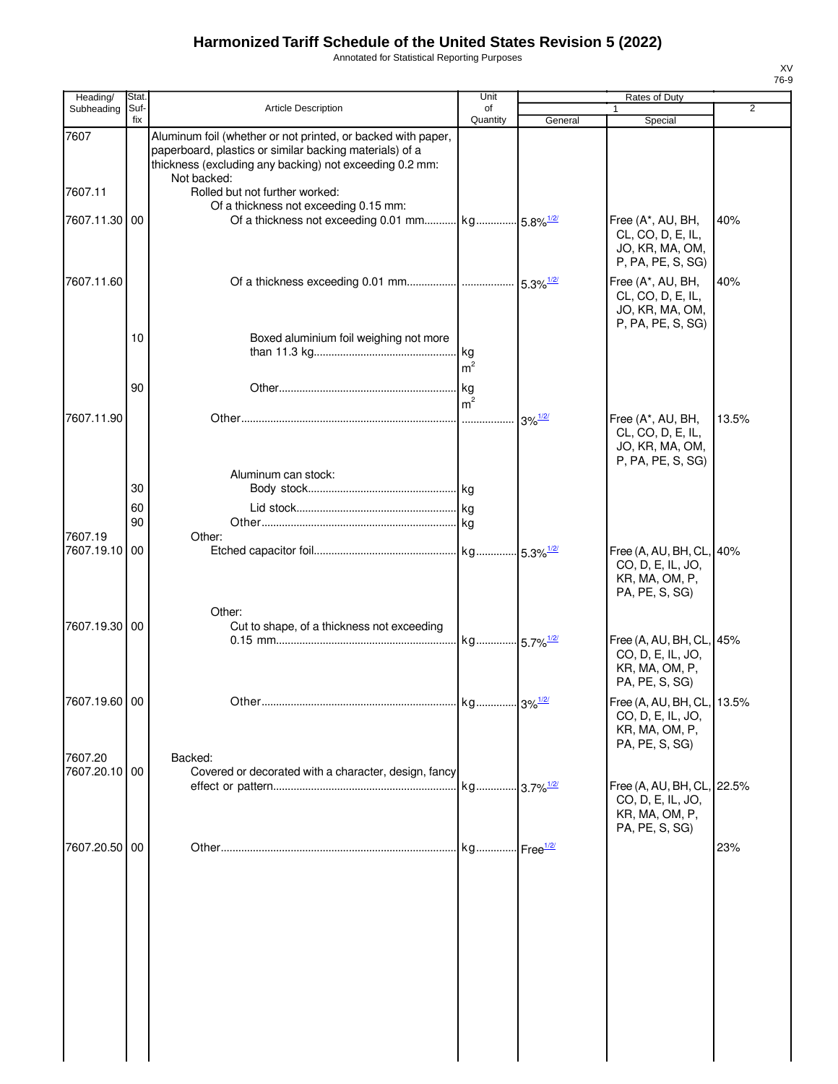Annotated for Statistical Reporting Purposes

| Heading/                 | <b>Stat</b> |                                                                                                                                                                                                   | Unit                 |                                    | Rates of Duty                                                                                         |       |
|--------------------------|-------------|---------------------------------------------------------------------------------------------------------------------------------------------------------------------------------------------------|----------------------|------------------------------------|-------------------------------------------------------------------------------------------------------|-------|
| Subheading               | Suf-<br>fix | <b>Article Description</b>                                                                                                                                                                        | of<br>Quantity       | General                            | Special                                                                                               | 2     |
| 7607                     |             | Aluminum foil (whether or not printed, or backed with paper,<br>paperboard, plastics or similar backing materials) of a<br>thickness (excluding any backing) not exceeding 0.2 mm:<br>Not backed: |                      |                                    |                                                                                                       |       |
| 7607.11                  |             | Rolled but not further worked:<br>Of a thickness not exceeding 0.15 mm:                                                                                                                           |                      |                                    |                                                                                                       |       |
| 7607.11.30               | 00          | Of a thickness not exceeding 0.01 mm kg 5.8% <sup>1/2/</sup>                                                                                                                                      |                      |                                    | Free (A*, AU, BH,<br>CL, CO, D, E, IL,<br>JO, KR, MA, OM,<br>P, PA, PE, S, SG)                        | 40%   |
| 7607.11.60               |             |                                                                                                                                                                                                   |                      |                                    | Free (A*, AU, BH,<br>CL, CO, D, E, IL,<br>JO, KR, MA, OM,<br>P, PA, PE, S, SG)                        | 40%   |
|                          | 10          | Boxed aluminium foil weighing not more                                                                                                                                                            | m <sup>2</sup>       |                                    |                                                                                                       |       |
|                          | 90          |                                                                                                                                                                                                   | kg<br>m <sup>2</sup> |                                    |                                                                                                       |       |
| 7607.11.90               |             |                                                                                                                                                                                                   |                      | $3\%$ <sup><math>1/2/</math></sup> | Free (A*, AU, BH,<br>CL, CO, D, E, IL,<br>JO, KR, MA, OM,<br>P, PA, PE, S, SG)                        | 13.5% |
|                          | 30          | Aluminum can stock:                                                                                                                                                                               |                      |                                    |                                                                                                       |       |
|                          | 60<br>90    |                                                                                                                                                                                                   |                      |                                    |                                                                                                       |       |
| 7607.19<br>7607.19.10    | 00          | Other:                                                                                                                                                                                            |                      |                                    | Free (A, AU, BH, CL, 40%<br>CO, D, E, IL, JO,<br>KR, MA, OM, P,                                       |       |
| 7607.19.30 00            |             | Other:<br>Cut to shape, of a thickness not exceeding                                                                                                                                              |                      |                                    | PA, PE, S, SG)<br>Free (A, AU, BH, CL, 45%<br>CO, D, E, IL, JO,<br>KR, MA, OM, P,<br>PA, PE, S, SG)   |       |
| 7607.19.60 00            |             |                                                                                                                                                                                                   |                      |                                    | Free (A, AU, BH, CL, 13.5%<br>CO, D, E, IL, JO,<br>KR, MA, OM, P,                                     |       |
| 7607.20<br>7607.20.10 00 |             | Backed:<br>Covered or decorated with a character, design, fancy                                                                                                                                   |                      |                                    | PA, PE, S, SG)<br>Free (A, AU, BH, CL, 22.5%<br>CO, D, E, IL, JO,<br>KR, MA, OM, P,<br>PA, PE, S, SG) |       |
| 7607.20.50 00            |             |                                                                                                                                                                                                   |                      | - Free <sup>1/2/</sup>             |                                                                                                       | 23%   |
|                          |             |                                                                                                                                                                                                   |                      |                                    |                                                                                                       |       |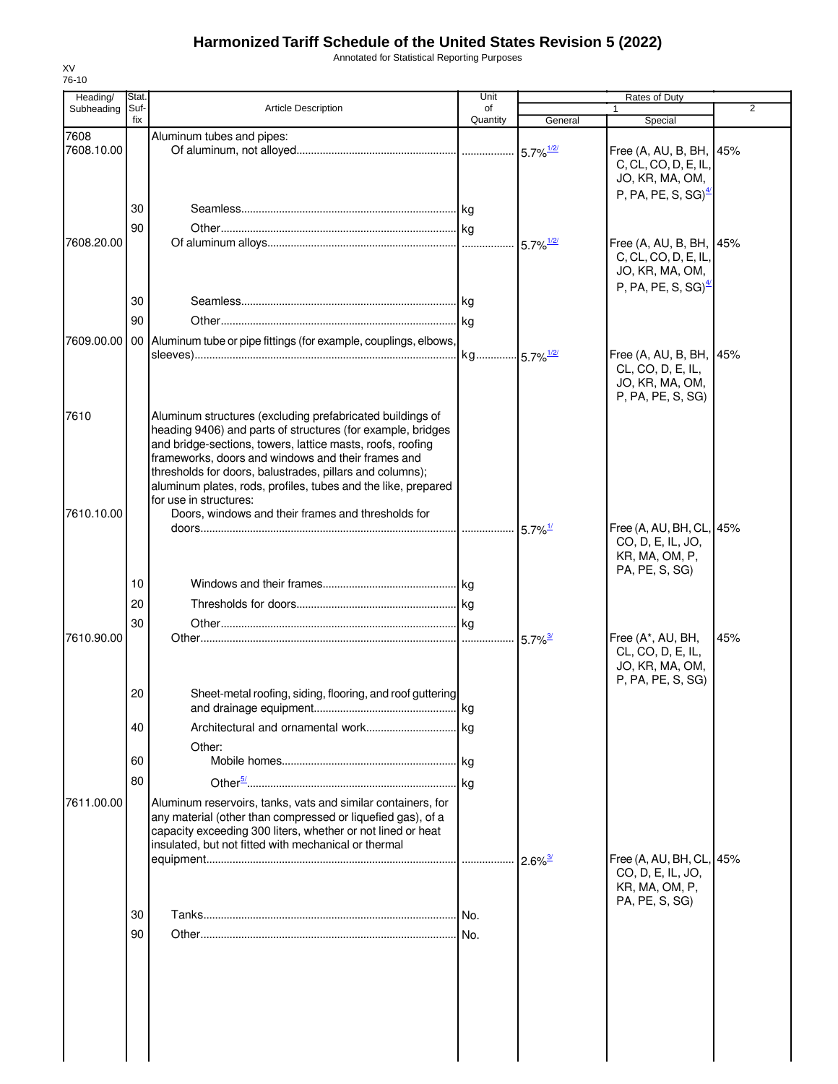Annotated for Statistical Reporting Purposes

| Heading/           | Stat.       |                                                                                                                                                                                                                                                                                                                                                                                                                                                           | Unit           |                         | Rates of Duty                                                                                         |     |
|--------------------|-------------|-----------------------------------------------------------------------------------------------------------------------------------------------------------------------------------------------------------------------------------------------------------------------------------------------------------------------------------------------------------------------------------------------------------------------------------------------------------|----------------|-------------------------|-------------------------------------------------------------------------------------------------------|-----|
| Subheading         | Suf-<br>fix | <b>Article Description</b>                                                                                                                                                                                                                                                                                                                                                                                                                                | of<br>Quantity | General                 | $\mathbf{1}$<br>Special                                                                               | 2   |
| 7608<br>7608.10.00 |             | Aluminum tubes and pipes:                                                                                                                                                                                                                                                                                                                                                                                                                                 |                | $5.7\%$ <sup>1/2/</sup> | Free (A, AU, B, BH, 45%<br>C, CL, CO, D, E, IL,<br>JO, KR, MA, OM,<br>P, PA, PE, S, SG) $\frac{4}{2}$ |     |
| 7608.20.00         | 30<br>90    |                                                                                                                                                                                                                                                                                                                                                                                                                                                           |                | $5.7\%$ <sup>1/2/</sup> | Free (A, AU, B, BH, 45%<br>C, CL, CO, D, E, IL,<br>JO, KR, MA, OM,                                    |     |
|                    | 30<br>90    |                                                                                                                                                                                                                                                                                                                                                                                                                                                           |                |                         | P, PA, PE, S, SG) $^{4}$                                                                              |     |
| 7609.00.00         |             | 00 Aluminum tube or pipe fittings (for example, couplings, elbows,                                                                                                                                                                                                                                                                                                                                                                                        |                |                         | Free (A, AU, B, BH, 45%<br>CL, CO, D, E, IL,<br>JO, KR, MA, OM,<br>P, PA, PE, S, SG)                  |     |
| 7610<br>7610.10.00 |             | Aluminum structures (excluding prefabricated buildings of<br>heading 9406) and parts of structures (for example, bridges<br>and bridge-sections, towers, lattice masts, roofs, roofing<br>frameworks, doors and windows and their frames and<br>thresholds for doors, balustrades, pillars and columns);<br>aluminum plates, rods, profiles, tubes and the like, prepared<br>for use in structures:<br>Doors, windows and their frames and thresholds for |                |                         |                                                                                                       |     |
|                    |             |                                                                                                                                                                                                                                                                                                                                                                                                                                                           |                | $5.7\%$ <sup>1/</sup>   | Free (A, AU, BH, CL, 45%<br>CO, D, E, IL, JO,<br>KR, MA, OM, P,<br>PA, PE, S, SG)                     |     |
|                    | 10          |                                                                                                                                                                                                                                                                                                                                                                                                                                                           |                |                         |                                                                                                       |     |
|                    | 20          |                                                                                                                                                                                                                                                                                                                                                                                                                                                           |                |                         |                                                                                                       |     |
| 7610.90.00         | 30          |                                                                                                                                                                                                                                                                                                                                                                                                                                                           |                | $5.7\%$ <sup>3/</sup>   | Free (A*, AU, BH,<br>CL, CO, D, E, IL,<br>JO, KR, MA, OM,<br>P, PA, PE, S, SG)                        | 45% |
|                    | 20          | Sheet-metal roofing, siding, flooring, and roof guttering                                                                                                                                                                                                                                                                                                                                                                                                 |                |                         |                                                                                                       |     |
|                    | 40          |                                                                                                                                                                                                                                                                                                                                                                                                                                                           |                |                         |                                                                                                       |     |
|                    | 60          | Other:                                                                                                                                                                                                                                                                                                                                                                                                                                                    |                |                         |                                                                                                       |     |
|                    | 80          |                                                                                                                                                                                                                                                                                                                                                                                                                                                           |                |                         |                                                                                                       |     |
| 7611.00.00         |             | Aluminum reservoirs, tanks, vats and similar containers, for<br>any material (other than compressed or liquefied gas), of a<br>capacity exceeding 300 liters, whether or not lined or heat<br>insulated, but not fitted with mechanical or thermal                                                                                                                                                                                                        |                |                         | Free (A, AU, BH, CL, 45%                                                                              |     |
|                    |             |                                                                                                                                                                                                                                                                                                                                                                                                                                                           |                |                         | CO, D, E, IL, JO,<br>KR, MA, OM, P,<br>PA, PE, S, SG)                                                 |     |
|                    | 30<br>90    |                                                                                                                                                                                                                                                                                                                                                                                                                                                           |                |                         |                                                                                                       |     |
|                    |             |                                                                                                                                                                                                                                                                                                                                                                                                                                                           |                |                         |                                                                                                       |     |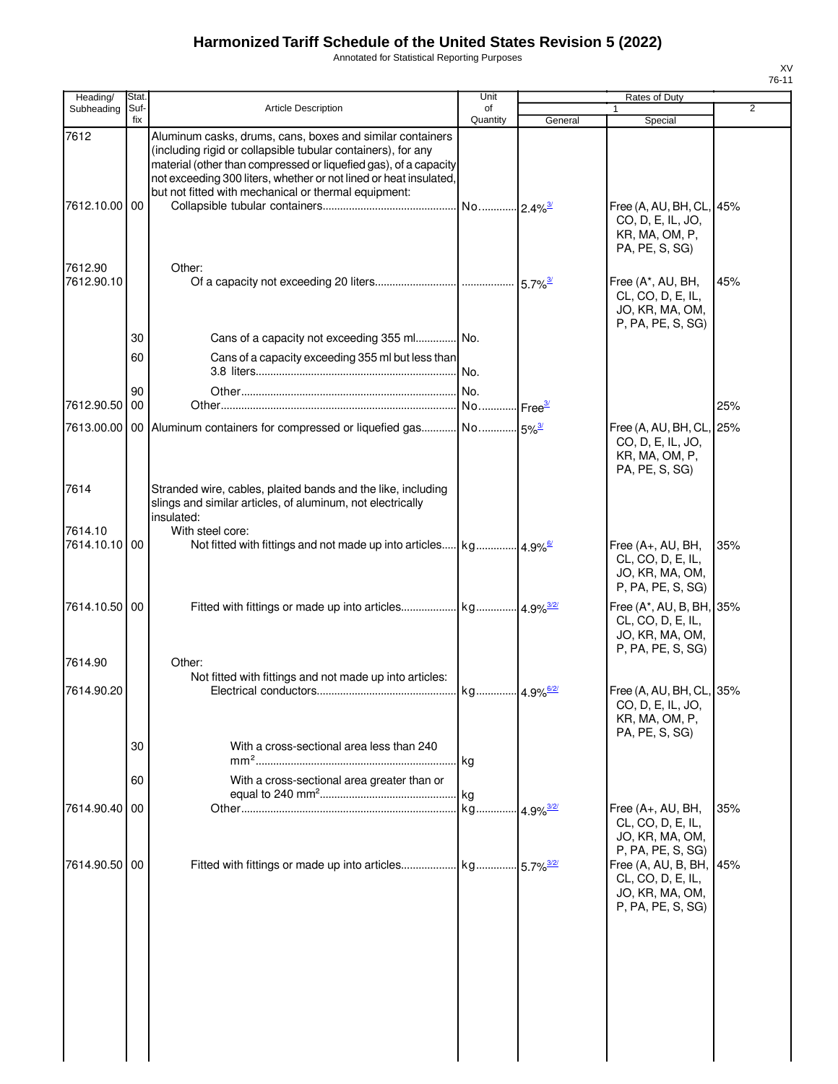Annotated for Statistical Reporting Purposes

| Heading/              | Stat.       |                                                                                                                                                                                                                                                                                                                            | Unit                    |                         | Rates of Duty                                                                         |                |
|-----------------------|-------------|----------------------------------------------------------------------------------------------------------------------------------------------------------------------------------------------------------------------------------------------------------------------------------------------------------------------------|-------------------------|-------------------------|---------------------------------------------------------------------------------------|----------------|
| Subheading            | Suf-<br>fix | <b>Article Description</b>                                                                                                                                                                                                                                                                                                 | of<br>Quantity          | General                 | 1<br>Special                                                                          | $\overline{2}$ |
| 7612<br>7612.10.00    | 00          | Aluminum casks, drums, cans, boxes and similar containers<br>(including rigid or collapsible tubular containers), for any<br>material (other than compressed or liquefied gas), of a capacity<br>not exceeding 300 liters, whether or not lined or heat insulated,<br>but not fitted with mechanical or thermal equipment: |                         |                         | Free (A, AU, BH, CL, 45%<br>CO, D, E, IL, JO,<br>KR, MA, OM, P,<br>PA, PE, S, SG)     |                |
| 7612.90<br>7612.90.10 |             | Other:                                                                                                                                                                                                                                                                                                                     |                         |                         | Free (A*, AU, BH,<br>CL, CO, D, E, IL,<br>JO, KR, MA, OM,<br>P, PA, PE, S, SG)        | 45%            |
|                       | 30          | Cans of a capacity not exceeding 355 ml No.                                                                                                                                                                                                                                                                                |                         |                         |                                                                                       |                |
|                       | 60          | Cans of a capacity exceeding 355 ml but less than                                                                                                                                                                                                                                                                          |                         |                         |                                                                                       |                |
|                       | 90          |                                                                                                                                                                                                                                                                                                                            |                         |                         |                                                                                       |                |
| 7612.90.50            | 00          |                                                                                                                                                                                                                                                                                                                            |                         |                         |                                                                                       | 25%            |
| 7613.00.00            |             |                                                                                                                                                                                                                                                                                                                            |                         |                         | Free (A, AU, BH, CL, 25%<br>CO, D, E, IL, JO,<br>KR, MA, OM, P,<br>PA, PE, S, SG)     |                |
| 7614<br>7614.10       |             | Stranded wire, cables, plaited bands and the like, including<br>slings and similar articles, of aluminum, not electrically<br>insulated:<br>With steel core:                                                                                                                                                               |                         |                         |                                                                                       |                |
| 7614.10.10            | 00          |                                                                                                                                                                                                                                                                                                                            |                         |                         | Free (A+, AU, BH,<br>CL, CO, D, E, IL,<br>JO, KR, MA, OM,<br>P, PA, PE, S, SG)        | 35%            |
| 7614.10.50 00         |             |                                                                                                                                                                                                                                                                                                                            |                         |                         | Free (A*, AU, B, BH, 35%<br>CL, CO, D, E, IL,<br>JO, KR, MA, OM,<br>P, PA, PE, S, SG) |                |
| 7614.90               |             | Other:                                                                                                                                                                                                                                                                                                                     |                         |                         |                                                                                       |                |
| 7614.90.20            |             | Not fitted with fittings and not made up into articles:                                                                                                                                                                                                                                                                    |                         |                         | Free (A, AU, BH, CL, 35%<br>CO, D, E, IL, JO,<br>KR, MA, OM, P,<br>PA, PE, S, SG)     |                |
|                       | 30          | With a cross-sectional area less than 240                                                                                                                                                                                                                                                                                  |                         |                         |                                                                                       |                |
|                       | 60          | With a cross-sectional area greater than or                                                                                                                                                                                                                                                                                | . kg                    |                         |                                                                                       |                |
| 7614.90.40            | 00          |                                                                                                                                                                                                                                                                                                                            | kg 4.9% <sup>3/2/</sup> |                         | Free (A+, AU, BH,<br>CL, CO, D, E, IL,<br>JO, KR, MA, OM,<br>P, PA, PE, S, SG)        | 35%            |
| 7614.90.50            | 00          | Fitted with fittings or made up into articles kg                                                                                                                                                                                                                                                                           |                         | $5.7\%$ <sup>3/2/</sup> | Free (A, AU, B, BH,<br>CL, CO, D, E, IL,<br>JO, KR, MA, OM,<br>P, PA, PE, S, SG)      | 45%            |
|                       |             |                                                                                                                                                                                                                                                                                                                            |                         |                         |                                                                                       |                |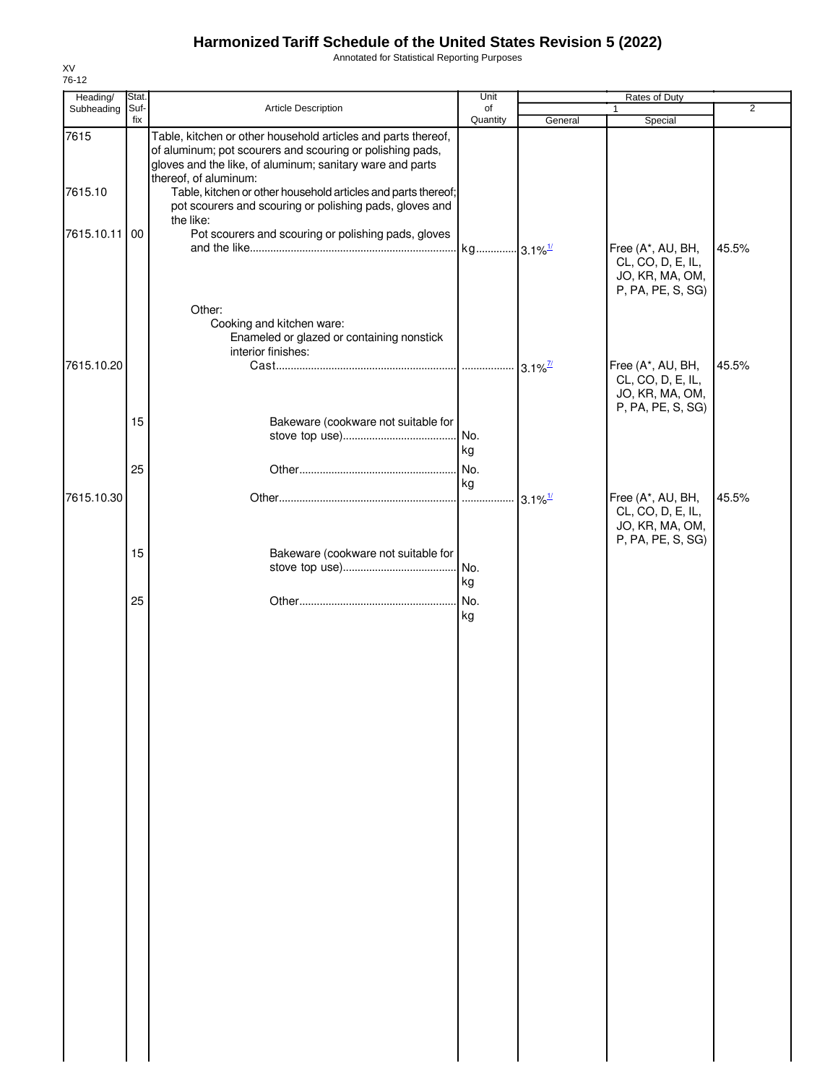Annotated for Statistical Reporting Purposes

| Heading/      | Stat. |                                                                                                                                                                                                                  | Unit      |                       | Rates of Duty                                                                  |                |
|---------------|-------|------------------------------------------------------------------------------------------------------------------------------------------------------------------------------------------------------------------|-----------|-----------------------|--------------------------------------------------------------------------------|----------------|
| Subheading    | Suf-  | Article Description                                                                                                                                                                                              | of        |                       | $\mathbf{1}$                                                                   | $\overline{2}$ |
|               | fix   |                                                                                                                                                                                                                  | Quantity  | General               | Special                                                                        |                |
| 7615          |       | Table, kitchen or other household articles and parts thereof,<br>of aluminum; pot scourers and scouring or polishing pads,<br>gloves and the like, of aluminum; sanitary ware and parts<br>thereof, of aluminum: |           |                       |                                                                                |                |
| 7615.10       |       | Table, kitchen or other household articles and parts thereof;<br>pot scourers and scouring or polishing pads, gloves and<br>the like:                                                                            |           |                       |                                                                                |                |
| 7615.10.11 00 |       | Pot scourers and scouring or polishing pads, gloves                                                                                                                                                              |           |                       | Free (A*, AU, BH,<br>CL, CO, D, E, IL,<br>JO, KR, MA, OM,<br>P, PA, PE, S, SG) | 45.5%          |
|               |       | Other:<br>Cooking and kitchen ware:<br>Enameled or glazed or containing nonstick<br>interior finishes:                                                                                                           |           |                       |                                                                                |                |
| 7615.10.20    |       |                                                                                                                                                                                                                  |           | $3.1\%$ <sup>7/</sup> | Free (A*, AU, BH,<br>CL, CO, D, E, IL,<br>JO, KR, MA, OM,<br>P, PA, PE, S, SG) | 45.5%          |
|               | 15    | Bakeware (cookware not suitable for                                                                                                                                                                              | No.<br>kg |                       |                                                                                |                |
|               | 25    |                                                                                                                                                                                                                  | No.<br>kg |                       |                                                                                |                |
| 7615.10.30    |       |                                                                                                                                                                                                                  |           | $3.1\%$ <sup>1/</sup> | Free (A*, AU, BH,<br>CL, CO, D, E, IL,<br>JO, KR, MA, OM,<br>P, PA, PE, S, SG) | 45.5%          |
|               | 15    | Bakeware (cookware not suitable for                                                                                                                                                                              | No.<br>kg |                       |                                                                                |                |
|               | 25    |                                                                                                                                                                                                                  | No.<br>kg |                       |                                                                                |                |
|               |       |                                                                                                                                                                                                                  |           |                       |                                                                                |                |
|               |       |                                                                                                                                                                                                                  |           |                       |                                                                                |                |
|               |       |                                                                                                                                                                                                                  |           |                       |                                                                                |                |
|               |       |                                                                                                                                                                                                                  |           |                       |                                                                                |                |
|               |       |                                                                                                                                                                                                                  |           |                       |                                                                                |                |
|               |       |                                                                                                                                                                                                                  |           |                       |                                                                                |                |
|               |       |                                                                                                                                                                                                                  |           |                       |                                                                                |                |
|               |       |                                                                                                                                                                                                                  |           |                       |                                                                                |                |
|               |       |                                                                                                                                                                                                                  |           |                       |                                                                                |                |
|               |       |                                                                                                                                                                                                                  |           |                       |                                                                                |                |
|               |       |                                                                                                                                                                                                                  |           |                       |                                                                                |                |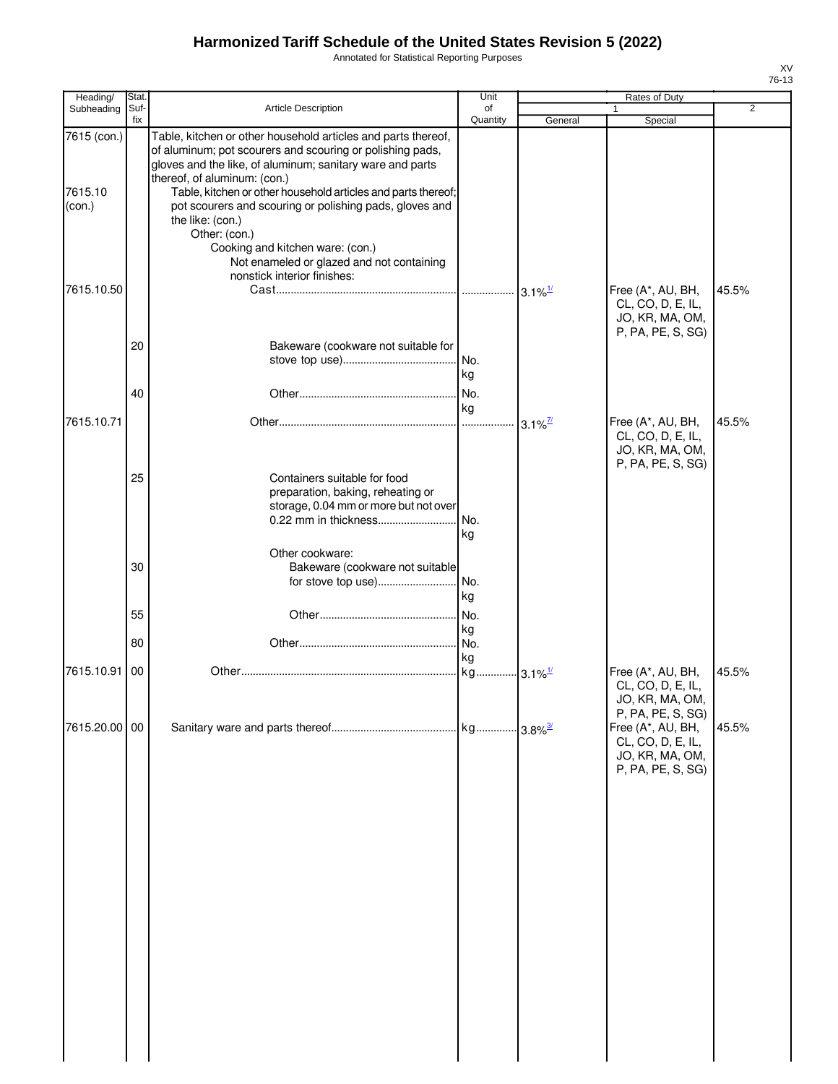Annotated for Statistical Reporting Purposes

| Heading/                         | Stat.       |                                                                                                                                                                                                                                                                                                                                                                                                                                                                                                          | Unit             |                        | <b>Rates of Duty</b>                                                                                |                |
|----------------------------------|-------------|----------------------------------------------------------------------------------------------------------------------------------------------------------------------------------------------------------------------------------------------------------------------------------------------------------------------------------------------------------------------------------------------------------------------------------------------------------------------------------------------------------|------------------|------------------------|-----------------------------------------------------------------------------------------------------|----------------|
| Subheading                       | Suf-<br>fix | Article Description                                                                                                                                                                                                                                                                                                                                                                                                                                                                                      | of<br>Quantity   | General                | 1<br>Special                                                                                        | $\overline{2}$ |
| 7615 (con.)<br>7615.10<br>(con.) |             | Table, kitchen or other household articles and parts thereof,<br>of aluminum; pot scourers and scouring or polishing pads,<br>gloves and the like, of aluminum; sanitary ware and parts<br>thereof, of aluminum: (con.)<br>Table, kitchen or other household articles and parts thereof;<br>pot scourers and scouring or polishing pads, gloves and<br>the like: (con.)<br>Other: (con.)<br>Cooking and kitchen ware: (con.)<br>Not enameled or glazed and not containing<br>nonstick interior finishes: |                  |                        |                                                                                                     |                |
| 7615.10.50                       | 20          |                                                                                                                                                                                                                                                                                                                                                                                                                                                                                                          |                  |                        | Free (A*, AU, BH,<br>CL, CO, D, E, IL,<br>JO, KR, MA, OM,<br>P, PA, PE, S, SG)                      | 45.5%          |
|                                  | 40          | Bakeware (cookware not suitable for                                                                                                                                                                                                                                                                                                                                                                                                                                                                      | No.<br>kg        |                        |                                                                                                     |                |
| 7615.10.71                       |             |                                                                                                                                                                                                                                                                                                                                                                                                                                                                                                          | kg               | $3.1\%$ <sup>7/2</sup> | Free (A*, AU, BH,<br>CL, CO, D, E, IL,<br>JO, KR, MA, OM,<br>P, PA, PE, S, SG)                      | 45.5%          |
|                                  | 25          | Containers suitable for food<br>preparation, baking, reheating or<br>storage, 0.04 mm or more but not over<br>0.22 mm in thickness                                                                                                                                                                                                                                                                                                                                                                       | No.<br>kg        |                        |                                                                                                     |                |
|                                  | 30          | Other cookware:<br>Bakeware (cookware not suitable<br>for stove top use)                                                                                                                                                                                                                                                                                                                                                                                                                                 | No.<br>kg        |                        |                                                                                                     |                |
|                                  | 55<br>80    |                                                                                                                                                                                                                                                                                                                                                                                                                                                                                                          | No.<br>kg<br>No. |                        |                                                                                                     |                |
| 7615.10.91                       | 00          |                                                                                                                                                                                                                                                                                                                                                                                                                                                                                                          | kg               |                        | Free (A*, AU, BH,<br>CL, CO, D, E, IL,<br>JO, KR, MA, OM,                                           | 45.5%          |
| 7615.20.00 00                    |             |                                                                                                                                                                                                                                                                                                                                                                                                                                                                                                          |                  |                        | P, PA, PE, S, SG)<br>Free (A*, AU, BH,<br>CL, CO, D, E, IL,<br>JO, KR, MA, OM,<br>P, PA, PE, S, SG) | 45.5%          |
|                                  |             |                                                                                                                                                                                                                                                                                                                                                                                                                                                                                                          |                  |                        |                                                                                                     |                |
|                                  |             |                                                                                                                                                                                                                                                                                                                                                                                                                                                                                                          |                  |                        |                                                                                                     |                |
|                                  |             |                                                                                                                                                                                                                                                                                                                                                                                                                                                                                                          |                  |                        |                                                                                                     |                |
|                                  |             |                                                                                                                                                                                                                                                                                                                                                                                                                                                                                                          |                  |                        |                                                                                                     |                |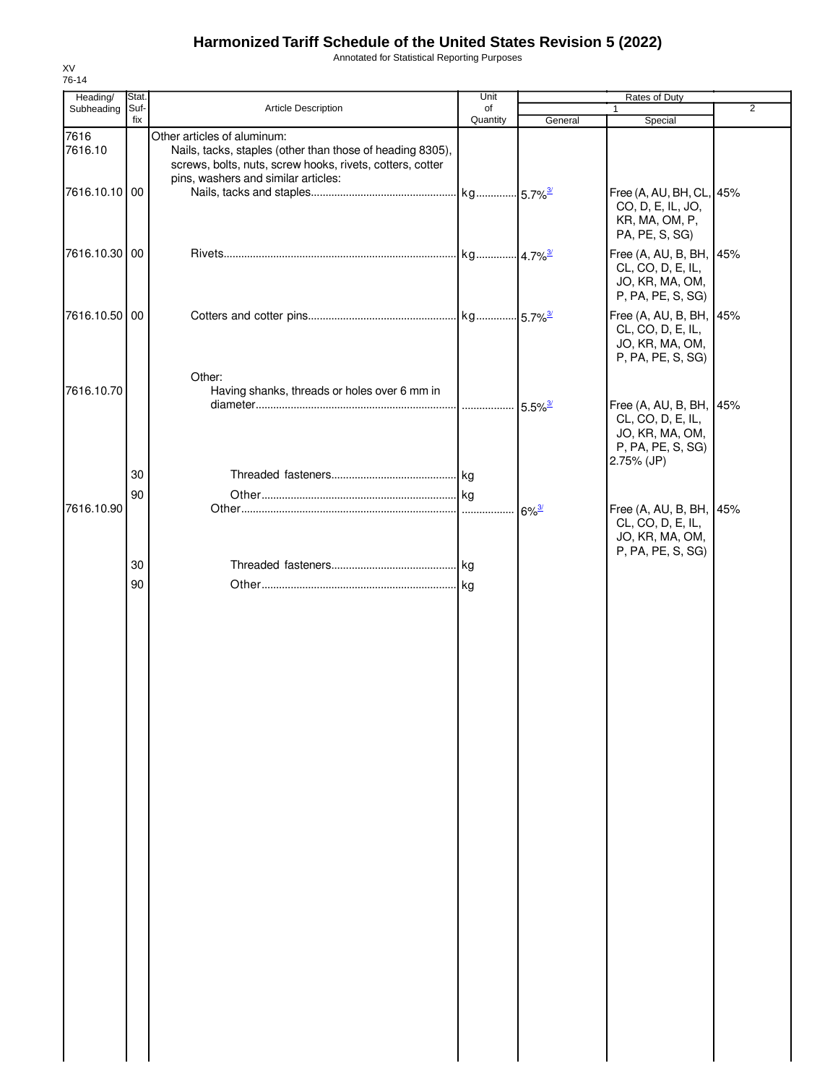Annotated for Statistical Reporting Purposes

| Heading/        | Stat.       |                                                                                                                                                       | Unit           |                     |                                                                                                    |                |
|-----------------|-------------|-------------------------------------------------------------------------------------------------------------------------------------------------------|----------------|---------------------|----------------------------------------------------------------------------------------------------|----------------|
| Subheading      | Suf-<br>fix | Article Description                                                                                                                                   | of<br>Quantity | General             | 1<br>Special                                                                                       | $\overline{2}$ |
| 7616<br>7616.10 |             | Other articles of aluminum:<br>Nails, tacks, staples (other than those of heading 8305),<br>screws, bolts, nuts, screw hooks, rivets, cotters, cotter |                |                     |                                                                                                    |                |
| 7616.10.10 00   |             | pins, washers and similar articles:                                                                                                                   |                |                     | Free (A, AU, BH, CL, 45%<br>CO, D, E, IL, JO,<br>KR, MA, OM, P,<br>PA, PE, S, SG)                  |                |
| 7616.10.30 00   |             |                                                                                                                                                       |                |                     | Free (A, AU, B, BH, 45%<br>CL, CO, D, E, IL,<br>JO, KR, MA, OM,<br>P, PA, PE, S, SG)               |                |
| 7616.10.50 00   |             |                                                                                                                                                       |                |                     | Free (A, AU, B, BH, 45%<br>CL, CO, D, E, IL,<br>JO, KR, MA, OM,<br>P, PA, PE, S, SG)               |                |
| 7616.10.70      |             | Other:<br>Having shanks, threads or holes over 6 mm in                                                                                                |                |                     |                                                                                                    |                |
|                 |             |                                                                                                                                                       |                |                     | Free (A, AU, B, BH, 45%<br>CL, CO, D, E, IL,<br>JO, KR, MA, OM,<br>P, PA, PE, S, SG)<br>2.75% (JP) |                |
|                 | 30          |                                                                                                                                                       |                |                     |                                                                                                    |                |
|                 | 90          |                                                                                                                                                       |                |                     |                                                                                                    |                |
| 7616.10.90      |             |                                                                                                                                                       |                | $6\%$ <sup>3/</sup> | Free (A, AU, B, BH, 45%<br>CL, CO, D, E, IL,<br>JO, KR, MA, OM,<br>P, PA, PE, S, SG)               |                |
|                 | 30          |                                                                                                                                                       |                |                     |                                                                                                    |                |
|                 | 90          |                                                                                                                                                       |                |                     |                                                                                                    |                |
|                 |             |                                                                                                                                                       |                |                     |                                                                                                    |                |
|                 |             |                                                                                                                                                       |                |                     |                                                                                                    |                |
|                 |             |                                                                                                                                                       |                |                     |                                                                                                    |                |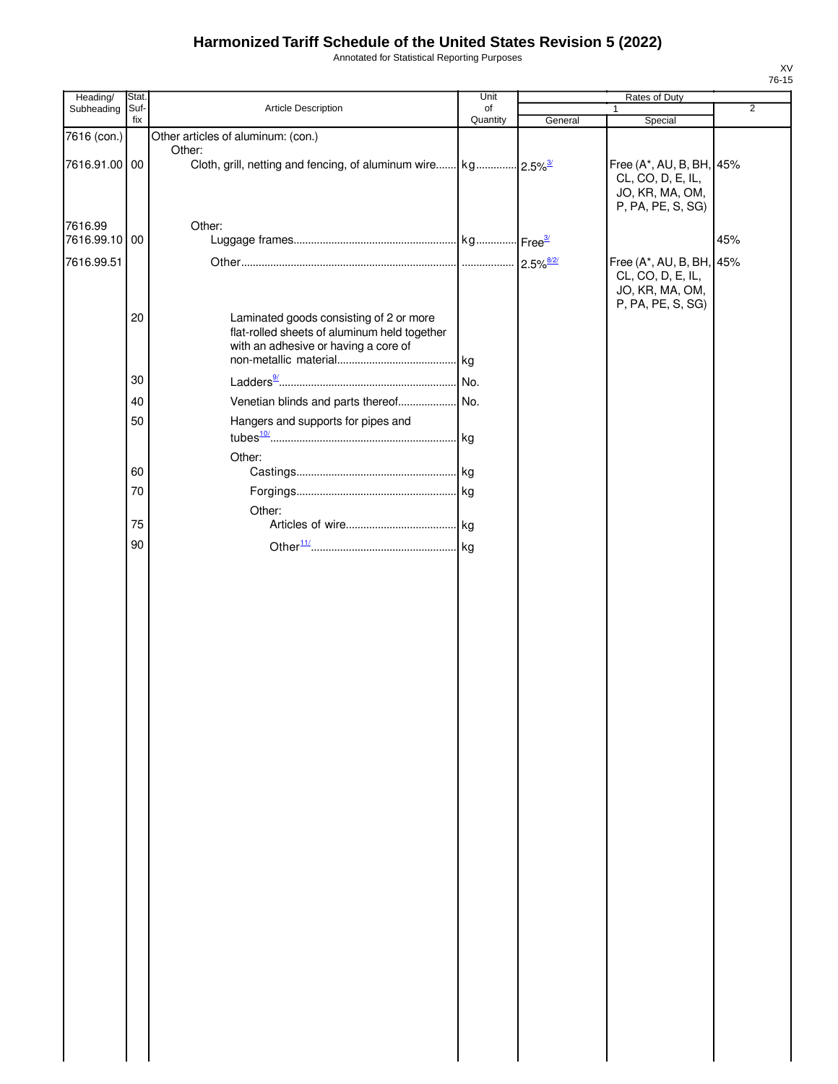Annotated for Statistical Reporting Purposes

| Heading/                 | Stat. |                                                                                                                                 | Unit     | Rates of Duty |                                                                                       |                |  |
|--------------------------|-------|---------------------------------------------------------------------------------------------------------------------------------|----------|---------------|---------------------------------------------------------------------------------------|----------------|--|
| Subheading               | Suf-  | Article Description                                                                                                             | of       |               | $\mathbf{1}$                                                                          | $\overline{2}$ |  |
| 7616 (con.)              | fix   | Other articles of aluminum: (con.)                                                                                              | Quantity | General       | Special                                                                               |                |  |
| 7616.91.00 00            |       | Other:                                                                                                                          |          |               | Free (A*, AU, B, BH, 45%<br>CL, CO, D, E, IL,<br>JO, KR, MA, OM,<br>P, PA, PE, S, SG) |                |  |
| 7616.99<br>7616.99.10 00 |       | Other:                                                                                                                          |          |               |                                                                                       | 45%            |  |
| 7616.99.51               |       |                                                                                                                                 |          |               | Free (A*, AU, B, BH, 45%<br>CL, CO, D, E, IL,<br>JO, KR, MA, OM,<br>P, PA, PE, S, SG) |                |  |
|                          | 20    | Laminated goods consisting of 2 or more<br>flat-rolled sheets of aluminum held together<br>with an adhesive or having a core of |          |               |                                                                                       |                |  |
|                          | 30    |                                                                                                                                 |          |               |                                                                                       |                |  |
|                          |       |                                                                                                                                 |          |               |                                                                                       |                |  |
|                          | 40    |                                                                                                                                 |          |               |                                                                                       |                |  |
|                          | 50    | Hangers and supports for pipes and                                                                                              |          |               |                                                                                       |                |  |
|                          |       |                                                                                                                                 |          |               |                                                                                       |                |  |
|                          | 60    | Other:                                                                                                                          |          |               |                                                                                       |                |  |
|                          | 70    |                                                                                                                                 |          |               |                                                                                       |                |  |
|                          |       |                                                                                                                                 |          |               |                                                                                       |                |  |
|                          | 75    | Other:                                                                                                                          |          |               |                                                                                       |                |  |
|                          | 90    |                                                                                                                                 |          |               |                                                                                       |                |  |
|                          |       |                                                                                                                                 |          |               |                                                                                       |                |  |
|                          |       |                                                                                                                                 |          |               |                                                                                       |                |  |
|                          |       |                                                                                                                                 |          |               |                                                                                       |                |  |